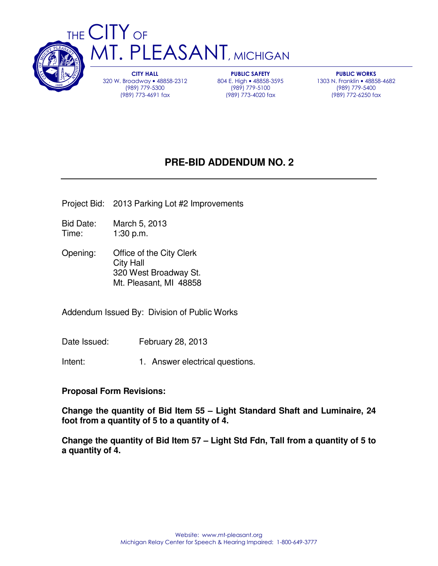

CITY HALL 320 W. Broadway • 48858-2312 (989) 779-5300 (989) 773-4691 fax

PUBLIC SAFETY 804 E. High • 48858-3595 (989) 779-5100 (989) 773-4020 fax

PUBLIC WORKS 1303 N. Franklin • 48858-4682 (989) 779-5400 (989) 772-6250 fax

## **PRE-BID ADDENDUM NO. 2**

- Project Bid: 2013 Parking Lot #2 Improvements
- Bid Date: March 5, 2013 Time: 1:30 p.m.
- Opening: Office of the City Clerk City Hall 320 West Broadway St. Mt. Pleasant, MI 48858

Addendum Issued By: Division of Public Works

Date Issued: February 28, 2013

Intent: 1. Answer electrical questions.

## **Proposal Form Revisions:**

**Change the quantity of Bid Item 55 – Light Standard Shaft and Luminaire, 24 foot from a quantity of 5 to a quantity of 4.** 

**Change the quantity of Bid Item 57 – Light Std Fdn, Tall from a quantity of 5 to a quantity of 4.**